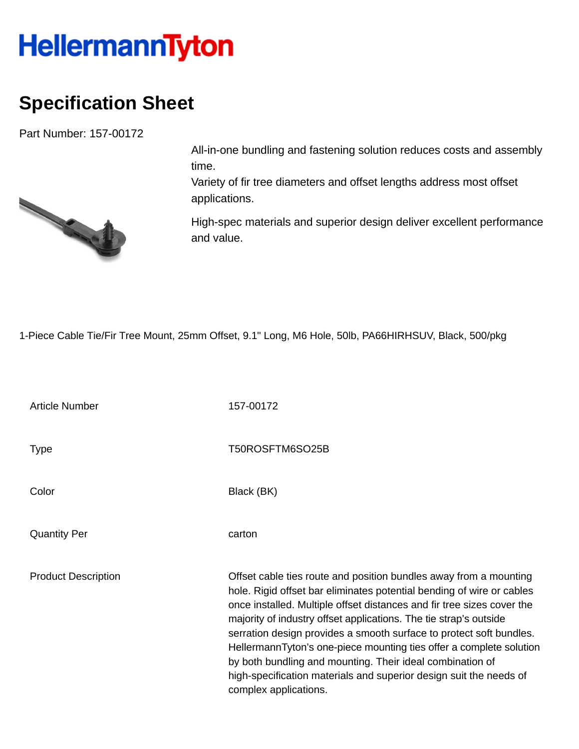## **HellermannTyton**

## **Specification Sheet**

Part Number: 157-00172



All-in-one bundling and fastening solution reduces costs and assembly time.

Variety of fir tree diameters and offset lengths address most offset applications.

High-spec materials and superior design deliver excellent performance and value.

1-Piece Cable Tie/Fir Tree Mount, 25mm Offset, 9.1" Long, M6 Hole, 50lb, PA66HIRHSUV, Black, 500/pkg

| <b>Article Number</b>      | 157-00172                                                                                                                                                                                                                                                                                                                                                                                                                                                                                                                                                                                           |
|----------------------------|-----------------------------------------------------------------------------------------------------------------------------------------------------------------------------------------------------------------------------------------------------------------------------------------------------------------------------------------------------------------------------------------------------------------------------------------------------------------------------------------------------------------------------------------------------------------------------------------------------|
| <b>Type</b>                | T50ROSFTM6SO25B                                                                                                                                                                                                                                                                                                                                                                                                                                                                                                                                                                                     |
| Color                      | Black (BK)                                                                                                                                                                                                                                                                                                                                                                                                                                                                                                                                                                                          |
| <b>Quantity Per</b>        | carton                                                                                                                                                                                                                                                                                                                                                                                                                                                                                                                                                                                              |
| <b>Product Description</b> | Offset cable ties route and position bundles away from a mounting<br>hole. Rigid offset bar eliminates potential bending of wire or cables<br>once installed. Multiple offset distances and fir tree sizes cover the<br>majority of industry offset applications. The tie strap's outside<br>serration design provides a smooth surface to protect soft bundles.<br>HellermannTyton's one-piece mounting ties offer a complete solution<br>by both bundling and mounting. Their ideal combination of<br>high-specification materials and superior design suit the needs of<br>complex applications. |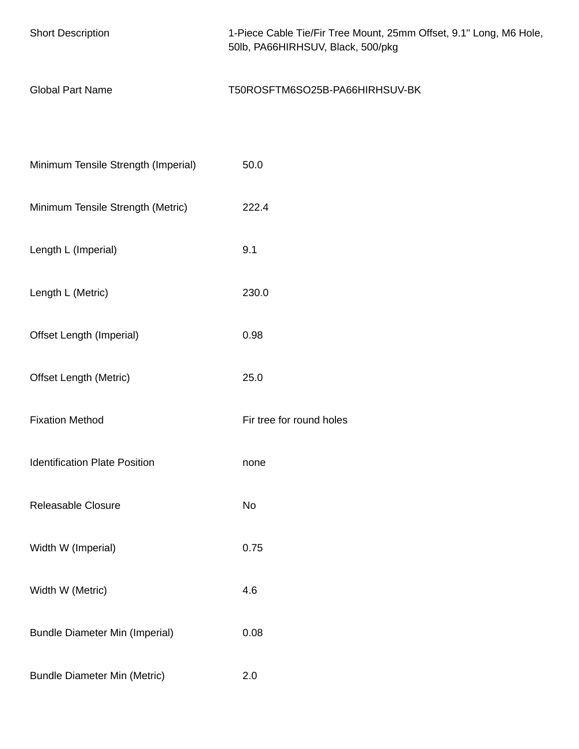| <b>Short Description</b>              | 1-Piece Cable Tie/Fir Tree Mount, 25mm Offset, 9.1" Long, M6 Hole,<br>50lb, PA66HIRHSUV, Black, 500/pkg |
|---------------------------------------|---------------------------------------------------------------------------------------------------------|
| <b>Global Part Name</b>               | T50ROSFTM6SO25B-PA66HIRHSUV-BK                                                                          |
|                                       |                                                                                                         |
| Minimum Tensile Strength (Imperial)   | 50.0                                                                                                    |
| Minimum Tensile Strength (Metric)     | 222.4                                                                                                   |
| Length L (Imperial)                   | 9.1                                                                                                     |
| Length L (Metric)                     | 230.0                                                                                                   |
| Offset Length (Imperial)              | 0.98                                                                                                    |
| <b>Offset Length (Metric)</b>         | 25.0                                                                                                    |
| <b>Fixation Method</b>                | Fir tree for round holes                                                                                |
| <b>Identification Plate Position</b>  | none                                                                                                    |
| Releasable Closure                    | No                                                                                                      |
| Width W (Imperial)                    | 0.75                                                                                                    |
| Width W (Metric)                      | 4.6                                                                                                     |
| <b>Bundle Diameter Min (Imperial)</b> | 0.08                                                                                                    |
| <b>Bundle Diameter Min (Metric)</b>   | 2.0                                                                                                     |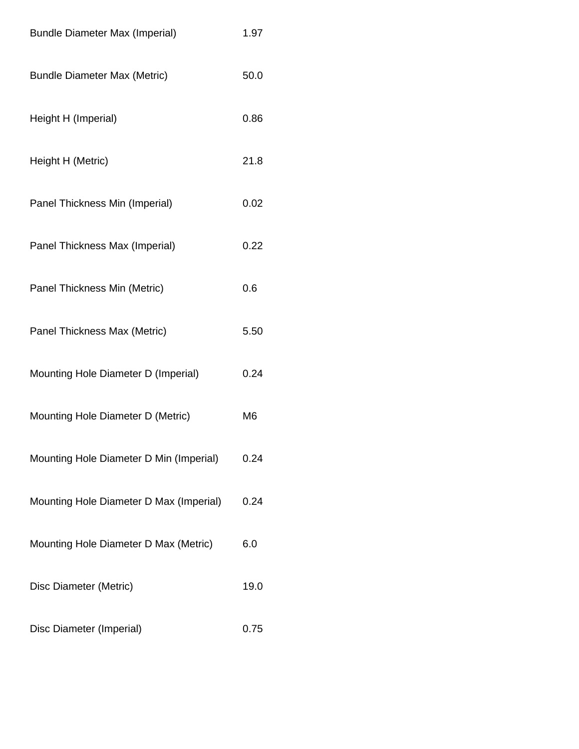| <b>Bundle Diameter Max (Imperial)</b>   | 1.97           |
|-----------------------------------------|----------------|
| <b>Bundle Diameter Max (Metric)</b>     | 50.0           |
| Height H (Imperial)                     | 0.86           |
| Height H (Metric)                       | 21.8           |
| Panel Thickness Min (Imperial)          | 0.02           |
| Panel Thickness Max (Imperial)          | 0.22           |
| Panel Thickness Min (Metric)            | 0.6            |
| Panel Thickness Max (Metric)            | 5.50           |
| Mounting Hole Diameter D (Imperial)     | 0.24           |
| Mounting Hole Diameter D (Metric)       | M <sub>6</sub> |
| Mounting Hole Diameter D Min (Imperial) | 0.24           |
| Mounting Hole Diameter D Max (Imperial) | 0.24           |
| Mounting Hole Diameter D Max (Metric)   | 6.0            |
| Disc Diameter (Metric)                  | 19.0           |
| Disc Diameter (Imperial)                | 0.75           |